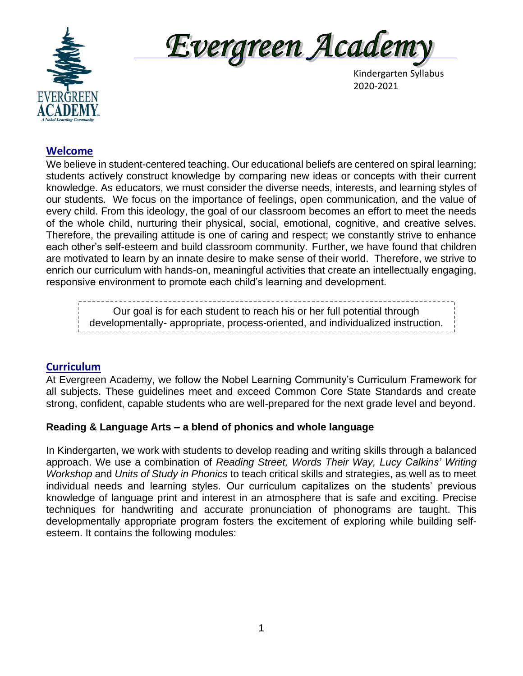



Kindergarten Syllabus

## **Welcome**

We believe in student-centered teaching. Our educational beliefs are centered on spiral learning; students actively construct knowledge by comparing new ideas or concepts with their current knowledge. As educators, we must consider the diverse needs, interests, and learning styles of our students. We focus on the importance of feelings, open communication, and the value of every child. From this ideology, the goal of our classroom becomes an effort to meet the needs of the whole child, nurturing their physical, social, emotional, cognitive, and creative selves. Therefore, the prevailing attitude is one of caring and respect; we constantly strive to enhance each other's self-esteem and build classroom community. Further, we have found that children are motivated to learn by an innate desire to make sense of their world. Therefore, we strive to enrich our curriculum with hands-on, meaningful activities that create an intellectually engaging, responsive environment to promote each child's learning and development.

Our goal is for each student to reach his or her full potential through developmentally- appropriate, process-oriented, and individualized instruction.

## **Curriculum**

At Evergreen Academy, we follow the Nobel Learning Community's Curriculum Framework for all subjects. These guidelines meet and exceed Common Core State Standards and create strong, confident, capable students who are well-prepared for the next grade level and beyond.

## **Reading & Language Arts – a blend of phonics and whole language**

In Kindergarten, we work with students to develop reading and writing skills through a balanced approach. We use a combination of *Reading Street, Words Their Way, Lucy Calkins' Writing Workshop* and *Units of Study in Phonics* to teach critical skills and strategies, as well as to meet individual needs and learning styles. Our curriculum capitalizes on the students' previous knowledge of language print and interest in an atmosphere that is safe and exciting. Precise techniques for handwriting and accurate pronunciation of phonograms are taught. This developmentally appropriate program fosters the excitement of exploring while building selfesteem. It contains the following modules: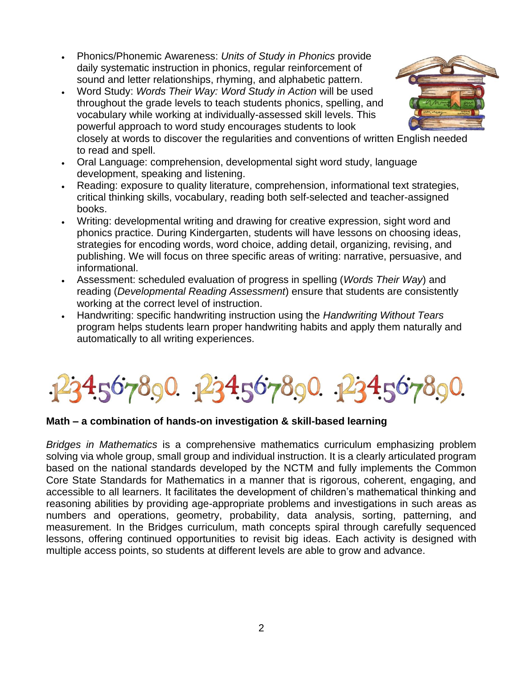- Phonics/Phonemic Awareness: *Units of Study in Phonics* provide daily systematic instruction in phonics, regular reinforcement of sound and letter relationships, rhyming, and alphabetic pattern.
- Word Study: *Words Their Way: Word Study in Action* will be used throughout the grade levels to teach students phonics, spelling, and vocabulary while working at individually-assessed skill levels. This powerful approach to word study encourages students to look



- closely at words to discover the regularities and conventions of written English needed to read and spell.
- Oral Language: comprehension, developmental sight word study, language development, speaking and listening.
- Reading: exposure to quality literature, comprehension, informational text strategies, critical thinking skills, vocabulary, reading both self-selected and teacher-assigned books.
- Writing: developmental writing and drawing for creative expression, sight word and phonics practice. During Kindergarten, students will have lessons on choosing ideas, strategies for encoding words, word choice, adding detail, organizing, revising, and publishing. We will focus on three specific areas of writing: narrative, persuasive, and informational.
- Assessment: scheduled evaluation of progress in spelling (*Words Their Way*) and reading (*Developmental Reading Assessment*) ensure that students are consistently working at the correct level of instruction.
- Handwriting: specific handwriting instruction using the *Handwriting Without Tears* program helps students learn proper handwriting habits and apply them naturally and automatically to all writing experiences.

1234567890. 1234567890. 1234567890.

## **Math – a combination of hands-on investigation & skill-based learning**

*Bridges in Mathematics* is a comprehensive mathematics curriculum emphasizing problem solving via whole group, small group and individual instruction. It is a clearly articulated program based on the national standards developed by the NCTM and fully implements the Common Core State Standards for Mathematics in a manner that is rigorous, coherent, engaging, and accessible to all learners. It facilitates the development of children's mathematical thinking and reasoning abilities by providing age-appropriate problems and investigations in such areas as numbers and operations, geometry, probability, data analysis, sorting, patterning, and measurement. In the Bridges curriculum, math concepts spiral through carefully sequenced lessons, offering continued opportunities to revisit big ideas. Each activity is designed with multiple access points, so students at different levels are able to grow and advance.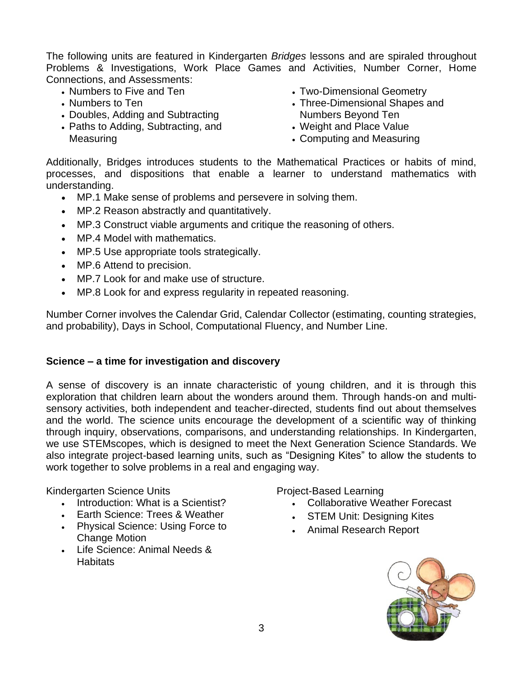The following units are featured in Kindergarten *Bridges* lessons and are spiraled throughout Problems & Investigations, Work Place Games and Activities, Number Corner, Home Connections, and Assessments:

- Numbers to Five and Ten
- Numbers to Ten
- Doubles, Adding and Subtracting
- Paths to Adding, Subtracting, and Measuring
- Two-Dimensional Geometry
- Three-Dimensional Shapes and Numbers Beyond Ten
- Weight and Place Value
- Computing and Measuring

Additionally, Bridges introduces students to the Mathematical Practices or habits of mind, processes, and dispositions that enable a learner to understand mathematics with understanding.

- MP.1 Make sense of problems and persevere in solving them.
- MP.2 Reason abstractly and quantitatively.
- MP.3 Construct viable arguments and critique the reasoning of others.
- MP.4 Model with mathematics.
- MP.5 Use appropriate tools strategically.
- MP.6 Attend to precision.
- MP.7 Look for and make use of structure.
- MP.8 Look for and express regularity in repeated reasoning.

Number Corner involves the Calendar Grid, Calendar Collector (estimating, counting strategies, and probability), Days in School, Computational Fluency, and Number Line.

#### **Science – a time for investigation and discovery**

A sense of discovery is an innate characteristic of young children, and it is through this exploration that children learn about the wonders around them. Through hands-on and multisensory activities, both independent and teacher-directed, students find out about themselves and the world. The science units encourage the development of a scientific way of thinking through inquiry, observations, comparisons, and understanding relationships. In Kindergarten, we use STEMscopes, which is designed to meet the Next Generation Science Standards. We also integrate project-based learning units, such as "Designing Kites" to allow the students to work together to solve problems in a real and engaging way.

Kindergarten Science Units

- Introduction: What is a Scientist?
- Earth Science: Trees & Weather
- Physical Science: Using Force to Change Motion
- Life Science: Animal Needs & **Habitats**

Project-Based Learning

- Collaborative Weather Forecast
- **STEM Unit: Designing Kites**
- Animal Research Report

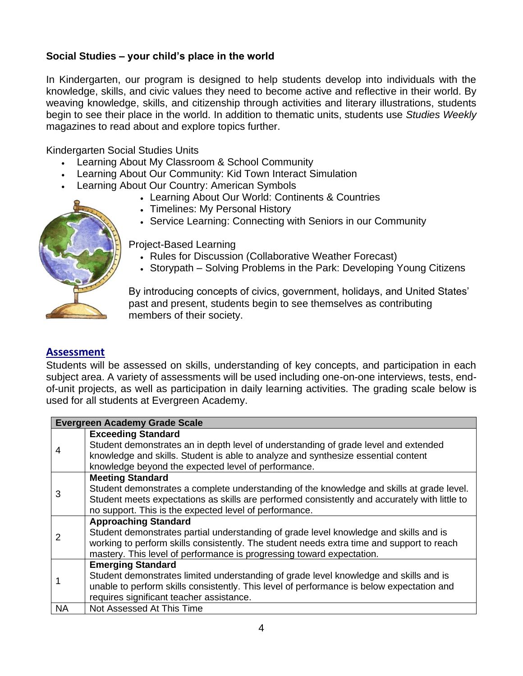## **Social Studies – your child's place in the world**

In Kindergarten, our program is designed to help students develop into individuals with the knowledge, skills, and civic values they need to become active and reflective in their world. By weaving knowledge, skills, and citizenship through activities and literary illustrations, students begin to see their place in the world. In addition to thematic units, students use *Studies Weekly* magazines to read about and explore topics further.

Kindergarten Social Studies Units

- Learning About My Classroom & School Community
- Learning About Our Community: Kid Town Interact Simulation
- Learning About Our Country: American Symbols
	- Learning About Our World: Continents & Countries
	- Timelines: My Personal History
	- Service Learning: Connecting with Seniors in our Community



Project-Based Learning

- Rules for Discussion (Collaborative Weather Forecast)
- Storypath Solving Problems in the Park: Developing Young Citizens

By introducing concepts of civics, government, holidays, and United States' past and present, students begin to see themselves as contributing members of their society.

### **Assessment**

Students will be assessed on skills, understanding of key concepts, and participation in each subject area. A variety of assessments will be used including one-on-one interviews, tests, endof-unit projects, as well as participation in daily learning activities. The grading scale below is used for all students at Evergreen Academy.

| <b>Evergreen Academy Grade Scale</b> |                                                                                                                                                                                                                                                                                            |
|--------------------------------------|--------------------------------------------------------------------------------------------------------------------------------------------------------------------------------------------------------------------------------------------------------------------------------------------|
| 4                                    | <b>Exceeding Standard</b><br>Student demonstrates an in depth level of understanding of grade level and extended<br>knowledge and skills. Student is able to analyze and synthesize essential content<br>knowledge beyond the expected level of performance.                               |
| 3                                    | <b>Meeting Standard</b><br>Student demonstrates a complete understanding of the knowledge and skills at grade level.<br>Student meets expectations as skills are performed consistently and accurately with little to<br>no support. This is the expected level of performance.            |
| 2                                    | <b>Approaching Standard</b><br>Student demonstrates partial understanding of grade level knowledge and skills and is<br>working to perform skills consistently. The student needs extra time and support to reach<br>mastery. This level of performance is progressing toward expectation. |
|                                      | <b>Emerging Standard</b><br>Student demonstrates limited understanding of grade level knowledge and skills and is<br>unable to perform skills consistently. This level of performance is below expectation and<br>requires significant teacher assistance.                                 |
| <b>NA</b>                            | Not Assessed At This Time                                                                                                                                                                                                                                                                  |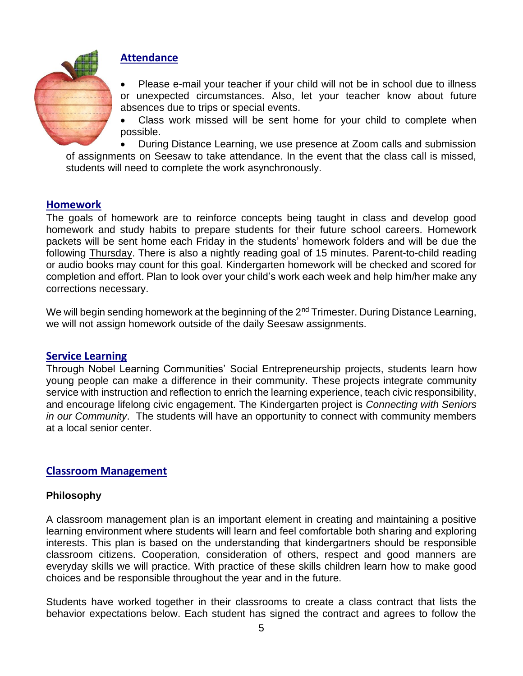

# **Attendance**

Please e-mail your teacher if your child will not be in school due to illness or unexpected circumstances. Also, let your teacher know about future absences due to trips or special events.

Class work missed will be sent home for your child to complete when possible.

• During Distance Learning, we use presence at Zoom calls and submission of assignments on Seesaw to take attendance. In the event that the class call is missed, students will need to complete the work asynchronously.

### **Homework**

The goals of homework are to reinforce concepts being taught in class and develop good homework and study habits to prepare students for their future school careers. Homework packets will be sent home each Friday in the students' homework folders and will be due the following Thursday. There is also a nightly reading goal of 15 minutes. Parent-to-child reading or audio books may count for this goal. Kindergarten homework will be checked and scored for completion and effort. Plan to look over your child's work each week and help him/her make any corrections necessary.

We will begin sending homework at the beginning of the 2<sup>nd</sup> Trimester. During Distance Learning, we will not assign homework outside of the daily Seesaw assignments.

#### **Service Learning**

Through Nobel Learning Communities' Social Entrepreneurship projects, students learn how young people can make a difference in their community. These projects integrate community service with instruction and reflection to enrich the learning experience, teach civic responsibility, and encourage lifelong civic engagement. The Kindergarten project is *Connecting with Seniors in our Community*. The students will have an opportunity to connect with community members at a local senior center.

### **Classroom Management**

### **Philosophy**

A classroom management plan is an important element in creating and maintaining a positive learning environment where students will learn and feel comfortable both sharing and exploring interests. This plan is based on the understanding that kindergartners should be responsible classroom citizens. Cooperation, consideration of others, respect and good manners are everyday skills we will practice. With practice of these skills children learn how to make good choices and be responsible throughout the year and in the future.

Students have worked together in their classrooms to create a class contract that lists the behavior expectations below. Each student has signed the contract and agrees to follow the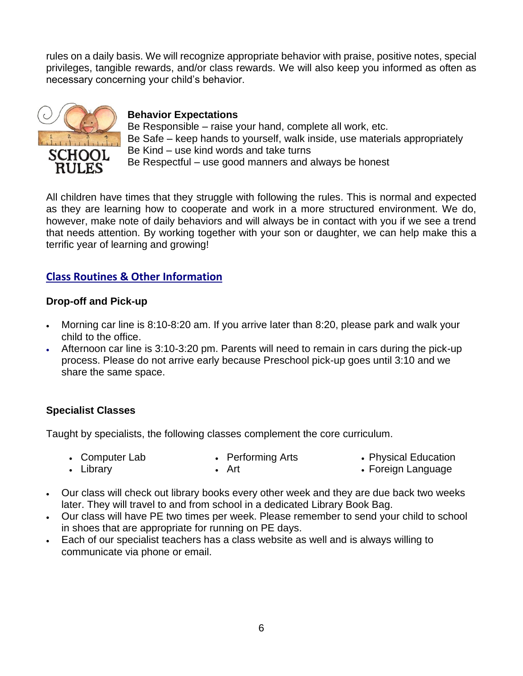rules on a daily basis. We will recognize appropriate behavior with praise, positive notes, special privileges, tangible rewards, and/or class rewards. We will also keep you informed as often as necessary concerning your child's behavior.



### **Behavior Expectations**

Be Responsible – raise your hand, complete all work, etc. Be Safe – keep hands to yourself, walk inside, use materials appropriately Be Kind – use kind words and take turns Be Respectful – use good manners and always be honest

All children have times that they struggle with following the rules. This is normal and expected as they are learning how to cooperate and work in a more structured environment. We do, however, make note of daily behaviors and will always be in contact with you if we see a trend that needs attention. By working together with your son or daughter, we can help make this a terrific year of learning and growing!

# **Class Routines & Other Information**

### **Drop-off and Pick-up**

- Morning car line is 8:10-8:20 am. If you arrive later than 8:20, please park and walk your child to the office.
- Afternoon car line is 3:10-3:20 pm. Parents will need to remain in cars during the pick-up process. Please do not arrive early because Preschool pick-up goes until 3:10 and we share the same space.

## **Specialist Classes**

Taught by specialists, the following classes complement the core curriculum.

- Computer Lab • Library • Performing Arts • Art • Physical Education • Foreign Language
- Our class will check out library books every other week and they are due back two weeks later. They will travel to and from school in a dedicated Library Book Bag.
- Our class will have PE two times per week. Please remember to send your child to school in shoes that are appropriate for running on PE days.
- Each of our specialist teachers has a class website as well and is always willing to communicate via phone or email.